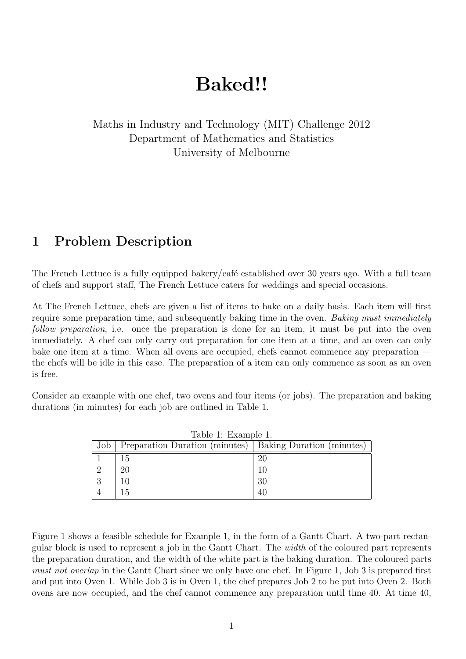## **Baked!!**

Maths in Industry and Technology (MIT) Challenge 2012 Department of Mathematics and Statistics University of Melbourne

## **1 Problem Description**

The French Lettuce is a fully equipped bakery/café established over 30 years ago. With a full team of chefs and support staff, The French Lettuce caters for weddings and special occasions.

At The French Lettuce, chefs are given a list of items to bake on a daily basis. Each item will first require some preparation time, and subsequently baking time in the oven. *Baking must immediately follow preparation*, i.e. once the preparation is done for an item, it must be put into the oven immediately. A chef can only carry out preparation for one item at a time, and an oven can only bake one item at a time. When all ovens are occupied, chefs cannot commence any preparation the chefs will be idle in this case. The preparation of a item can only commence as soon as an oven is free.

Consider an example with one chef, two ovens and four items (or jobs). The preparation and baking durations (in minutes) for each job are outlined in Table 1.

| rable i: Example 1. |                                                            |    |  |
|---------------------|------------------------------------------------------------|----|--|
| Job                 | Preparation Duration (minutes)   Baking Duration (minutes) |    |  |
|                     | Т5                                                         | 20 |  |
|                     |                                                            |    |  |
|                     |                                                            | 30 |  |
|                     |                                                            |    |  |

 $T<sub>a</sub>$ ble 1. Ex

Figure 1 shows a feasible schedule for Example 1, in the form of a Gantt Chart. A two-part rectangular block is used to represent a job in the Gantt Chart. The *width* of the coloured part represents the preparation duration, and the width of the white part is the baking duration. The coloured parts *must not overlap* in the Gantt Chart since we only have one chef. In Figure 1, Job 3 is prepared first and put into Oven 1. While Job 3 is in Oven 1, the chef prepares Job 2 to be put into Oven 2. Both ovens are now occupied, and the chef cannot commence any preparation until time 40. At time 40,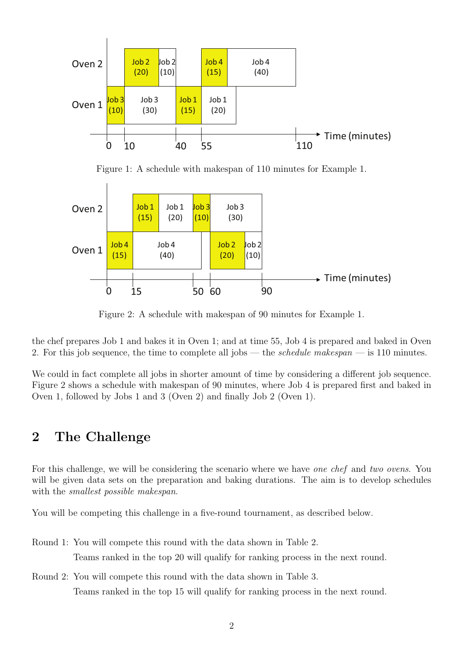

Figure 1: A schedule with makespan of 110 minutes for Example 1.



Figure 2: A schedule with makespan of 90 minutes for Example 1.

the chef prepares Job 1 and bakes it in Oven 1; and at time 55, Job 4 is prepared and baked in Oven 2. For this job sequence, the time to complete all jobs — the *schedule makespan* — is 110 minutes.

We could in fact complete all jobs in shorter amount of time by considering a different job sequence. Figure 2 shows a schedule with makespan of 90 minutes, where Job 4 is prepared first and baked in Oven 1, followed by Jobs 1 and 3 (Oven 2) and finally Job 2 (Oven 1).

## **2 The Challenge**

For this challenge, we will be considering the scenario where we have *one chef* and *two ovens*. You will be given data sets on the preparation and baking durations. The aim is to develop schedules with the *smallest possible makespan*.

You will be competing this challenge in a five-round tournament, as described below.

- Round 1: You will compete this round with the data shown in Table 2. Teams ranked in the top 20 will qualify for ranking process in the next round.
- Round 2: You will compete this round with the data shown in Table 3. Teams ranked in the top 15 will qualify for ranking process in the next round.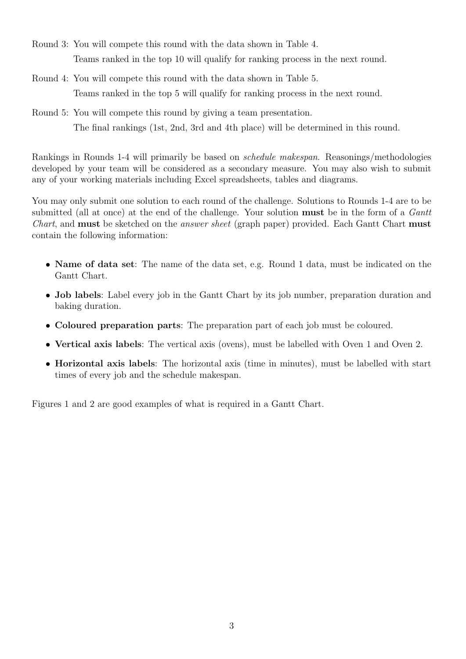- Round 3: You will compete this round with the data shown in Table 4. Teams ranked in the top 10 will qualify for ranking process in the next round.
- Round 4: You will compete this round with the data shown in Table 5. Teams ranked in the top 5 will qualify for ranking process in the next round.
- Round 5: You will compete this round by giving a team presentation. The final rankings (1st, 2nd, 3rd and 4th place) will be determined in this round.

Rankings in Rounds 1-4 will primarily be based on *schedule makespan*. Reasonings/methodologies developed by your team will be considered as a secondary measure. You may also wish to submit any of your working materials including Excel spreadsheets, tables and diagrams.

You may only submit one solution to each round of the challenge. Solutions to Rounds 1-4 are to be submitted (all at once) at the end of the challenge. Your solution **must** be in the form of a *Gantt Chart*, and **must** be sketched on the *answer sheet* (graph paper) provided. Each Gantt Chart **must** contain the following information:

- *•* **Name of data set**: The name of the data set, e.g. Round 1 data, must be indicated on the Gantt Chart.
- **Job labels**: Label every job in the Gantt Chart by its job number, preparation duration and baking duration.
- *•* **Coloured preparation parts**: The preparation part of each job must be coloured.
- *•* **Vertical axis labels**: The vertical axis (ovens), must be labelled with Oven 1 and Oven 2.
- *•* **Horizontal axis labels**: The horizontal axis (time in minutes), must be labelled with start times of every job and the schedule makespan.

Figures 1 and 2 are good examples of what is required in a Gantt Chart.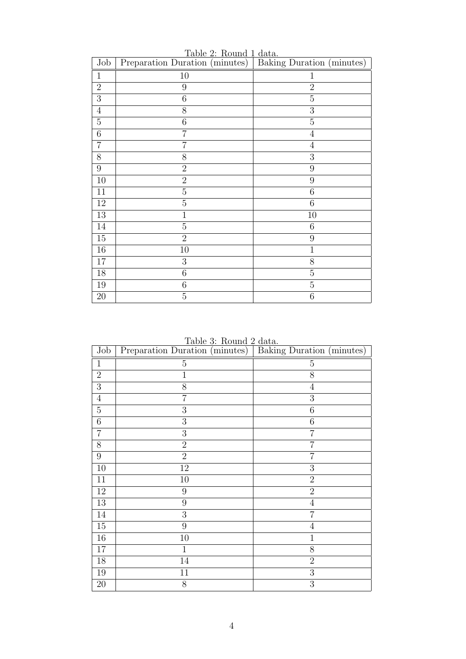| Job              | $1000$ $\mu$ . Round $1$ Gava.<br>Preparation Duration (minutes) | Baking Duration (minutes) |
|------------------|------------------------------------------------------------------|---------------------------|
| $\mathbf{1}$     | 10                                                               | $\mathbf{1}$              |
| $\sqrt{2}$       | $\boldsymbol{9}$                                                 | $\overline{2}$            |
| $\overline{3}$   | 6                                                                | $\overline{5}$            |
| $\overline{4}$   | 8                                                                | 3                         |
| $\overline{5}$   | 6                                                                | $\overline{5}$            |
| $\overline{6}$   | $\overline{7}$                                                   | $\overline{4}$            |
| $\overline{7}$   | 7                                                                | $\overline{4}$            |
| 8                | 8                                                                | 3                         |
| $\boldsymbol{9}$ | $\overline{2}$                                                   | 9                         |
| 10               | $\overline{2}$                                                   | 9                         |
| 11               | $\overline{5}$                                                   | 6                         |
| $12\,$           | $\overline{5}$                                                   | 6                         |
| $13\,$           | 1                                                                | 10                        |
| 14               | $\overline{5}$                                                   | 6                         |
| $15\,$           | $\overline{2}$                                                   | 9                         |
| $16\,$           | 10                                                               | $\mathbf{1}$              |
| 17               | 3                                                                | 8                         |
| $18\,$           | 6                                                                | $\overline{5}$            |
| 19               | 6                                                                | $\overline{5}$            |
| $20\,$           | $\overline{5}$                                                   | $\boldsymbol{6}$          |

Table 2: Round 1 data.

Table 3: Round 2 data.

| Job             | Preparation Duration (minutes) | Baking Duration (minutes) |
|-----------------|--------------------------------|---------------------------|
| $\mathbf{1}$    | $\overline{5}$                 | $\overline{5}$            |
| $\overline{2}$  | $\mathbf{1}$                   | 8                         |
| 3               | 8                              | $\overline{4}$            |
| $\sqrt{4}$      | $\overline{7}$                 | 3                         |
| $\overline{5}$  | 3                              | $6\phantom{.}6$           |
| $\overline{6}$  | $\boldsymbol{3}$               | 6                         |
| $\overline{7}$  | 3                              | $\overline{7}$            |
| 8               | $\overline{2}$                 | 7                         |
| $\overline{9}$  | $\overline{2}$                 | $\overline{7}$            |
| 10              | 12                             | 3                         |
| 11              | 10                             | $\overline{2}$            |
| 12              | 9                              | $\overline{2}$            |
| $\overline{13}$ | $\boldsymbol{9}$               | $\overline{4}$            |
| 14              | 3                              | $\overline{7}$            |
| $15\,$          | $\boldsymbol{9}$               | $\overline{4}$            |
| $16\,$          | 10                             | $\mathbf{1}$              |
| 17              | $\mathbf{1}$                   | 8                         |
| $18\,$          | 14                             | $\overline{2}$            |
| 19              | 11                             | 3                         |
| $20\,$          | 8                              | 3                         |